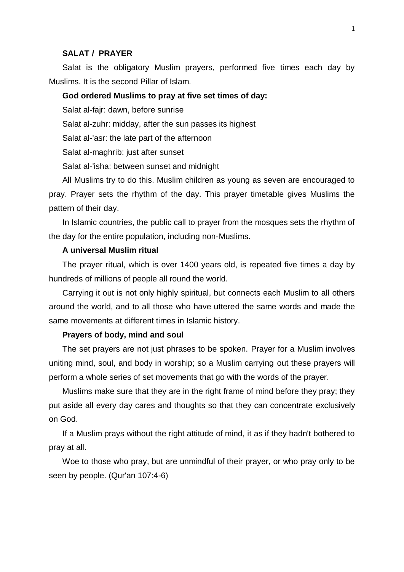#### **SALAT / PRAYER**

Salat is the obligatory Muslim prayers, performed five times each day by Muslims. It is the second Pillar of Islam.

### **God ordered Muslims to pray at five set times of day:**

Salat al-fajr: dawn, before sunrise

Salat al-zuhr: midday, after the sun passes its highest

Salat al-'asr: the late part of the afternoon

Salat al-maghrib: just after sunset

Salat al-'isha: between sunset and midnight

All Muslims try to do this. Muslim children as young as seven are encouraged to pray. Prayer sets the rhythm of the day. This prayer timetable gives Muslims the pattern of their day.

In Islamic countries, the public call to prayer from the mosques sets the rhythm of the day for the entire population, including non-Muslims.

# **A universal Muslim ritual**

The prayer ritual, which is over 1400 years old, is repeated five times a day by hundreds of millions of people all round the world.

Carrying it out is not only highly spiritual, but connects each Muslim to all others around the world, and to all those who have uttered the same words and made the same movements at different times in Islamic history.

## **Prayers of body, mind and soul**

The set prayers are not just phrases to be spoken. Prayer for a Muslim involves uniting mind, soul, and body in worship; so a Muslim carrying out these prayers will perform a whole series of set movements that go with the words of the prayer.

Muslims make sure that they are in the right frame of mind before they pray; they put aside all every day cares and thoughts so that they can concentrate exclusively on God.

If a Muslim prays without the right attitude of mind, it as if they hadn't bothered to pray at all.

Woe to those who pray, but are unmindful of their prayer, or who pray only to be seen by people. (Qur'an 107:4-6)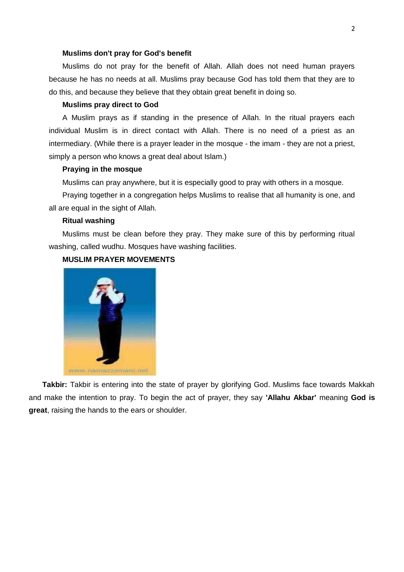#### **Muslims don't pray for God's benefit**

Muslims do not pray for the benefit of Allah. Allah does not need human prayers because he has no needs at all. Muslims pray because God has told them that they are to do this, and because they believe that they obtain great benefit in doing so.

### **Muslims pray direct to God**

A Muslim prays as if standing in the presence of Allah. In the ritual prayers each individual Muslim is in direct contact with Allah. There is no need of a priest as an intermediary. (While there is a prayer leader in the mosque - the imam - they are not a priest, simply a person who knows a great deal about Islam.)

# **Praying in the mosque**

Muslims can pray anywhere, but it is especially good to pray with others in a mosque.

Praying together in a congregation helps Muslims to realise that all humanity is one, and all are equal in the sight of Allah.

## **Ritual washing**

Muslims must be clean before they pray. They make sure of this by performing ritual washing, called wudhu. Mosques have washing facilities.

# **MUSLIM PRAYER MOVEMENTS**



**Takbir:** Takbir is entering into the state of prayer by glorifying God. Muslims face towards Makkah and make the intention to pray. To begin the act of prayer, they say **'Allahu Akbar'** meaning **God is great**, raising the hands to the ears or shoulder.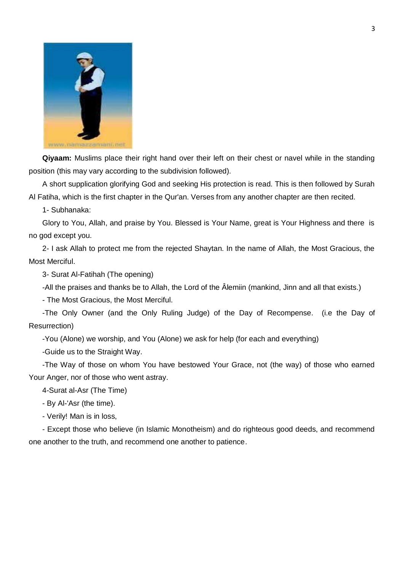

**Qiyaam:** Muslims place their right hand over their left on their chest or navel while in the standing position (this may vary according to the subdivision followed).

A short supplication glorifying God and seeking His protection is read. This is then followed by Surah Al Fatiha, which is the first chapter in the Qur'an. Verses from any another chapter are then recited.

1- Subhanaka:

Glory to You, Allah, and praise by You. Blessed is Your Name, great is Your Highness and there is no god except you.

2- I ask Allah to protect me from the rejected Shaytan. In the name of Allah, the Most Gracious, the Most Merciful.

3- Surat Al-Fatihah (The opening)

-All the praises and thanks be to Allah, the Lord of the Âlemiin (mankind, Jinn and all that exists.)

- The Most Gracious, the Most Merciful.

-The Only Owner (and the Only Ruling Judge) of the Day of Recompense. (i.e the Day of Resurrection)

-You (Alone) we worship, and You (Alone) we ask for help (for each and everything)

-Guide us to the Straight Way.

-The Way of those on whom You have bestowed Your Grace, not (the way) of those who earned Your Anger, nor of those who went astray.

4-Surat al-Asr (The Time)

- By Al-'Asr (the time).

- Verily! Man is in loss,

- Except those who believe (in Islamic Monotheism) and do righteous good deeds, and recommend one another to the truth, and recommend one another to patience.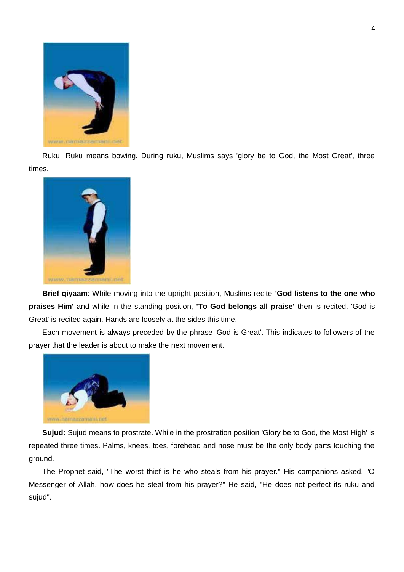

Ruku: Ruku means bowing. During ruku, Muslims says 'glory be to God, the Most Great', three times.



**Brief qiyaam**: While moving into the upright position, Muslims recite **'God listens to the one who praises Him'** and while in the standing position, **'To God belongs all praise'** then is recited. 'God is Great' is recited again. Hands are loosely at the sides this time.

Each movement is always preceded by the phrase 'God is Great'. This indicates to followers of the prayer that the leader is about to make the next movement.



**Sujud:** Sujud means to prostrate. While in the prostration position 'Glory be to God, the Most High' is repeated three times. Palms, knees, toes, forehead and nose must be the only body parts touching the ground.

The Prophet said, "The worst thief is he who steals from his prayer." His companions asked, "O Messenger of Allah, how does he steal from his prayer?" He said, "He does not perfect its ruku and sujud".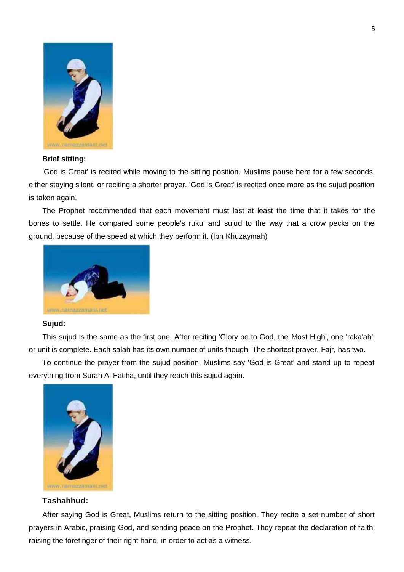

### **Brief sitting:**

'God is Great' is recited while moving to the sitting position. Muslims pause here for a few seconds, either staying silent, or reciting a shorter prayer. 'God is Great' is recited once more as the sujud position is taken again.

The Prophet recommended that each movement must last at least the time that it takes for the bones to settle. He compared some people's ruku' and sujud to the way that a crow pecks on the ground, because of the speed at which they perform it. (Ibn Khuzaymah)



#### **Sujud:**

This sujud is the same as the first one. After reciting 'Glory be to God, the Most High', one 'raka'ah', or unit is complete. Each salah has its own number of units though. The shortest prayer, Fajr, has two.

To continue the prayer from the sujud position, Muslims say 'God is Great' and stand up to repeat everything from Surah Al Fatiha, until they reach this sujud again.



# **Tashahhud:**

After saying God is Great, Muslims return to the sitting position. They recite a set number of short prayers in Arabic, praising God, and sending peace on the Prophet. They repeat the declaration of faith, raising the forefinger of their right hand, in order to act as a witness.